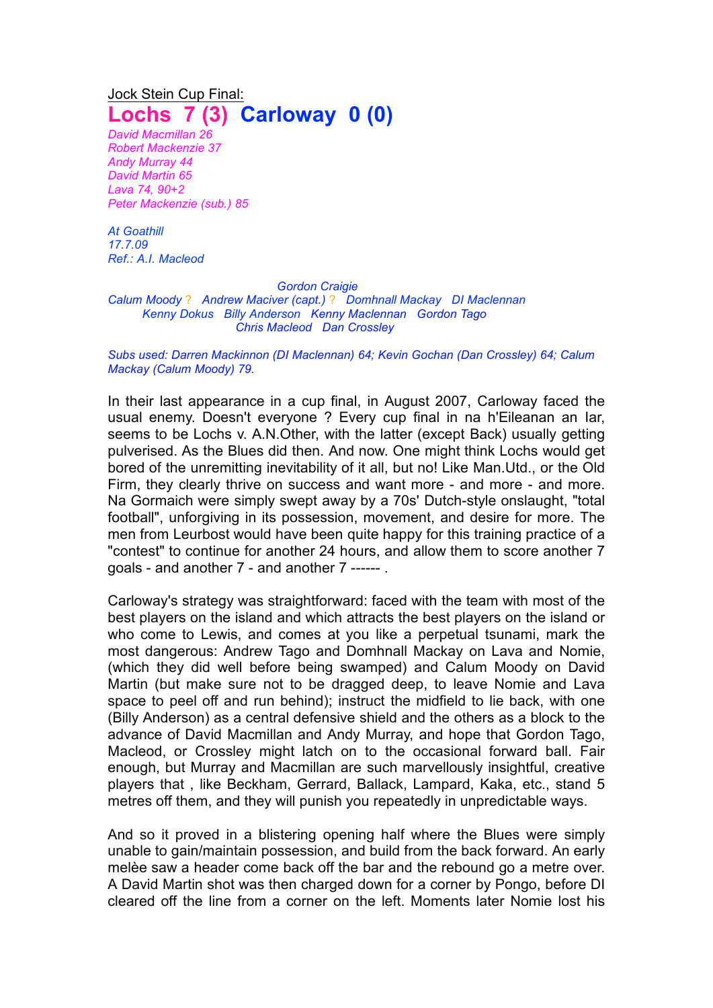## Jock Stein Cup Final: **Lochs 7 (3) Carloway 0 (0)**

*David Macmillan 26 Robert Mackenzie 37 Andy Murray 44 David Martin 65 Lava 74, 90+2 Peter Mackenzie (sub.) 85*

*At Goathill 17.7.09 Ref.: A.I. Macleod*

## *Gordon Craigie*

*Calum Moody* ? *Andrew Maciver (capt.)* ? *Domhnall Mackay DI Maclennan Kenny Dokus Billy Anderson Kenny Maclennan Gordon Tago Chris Macleod Dan Crossley*

## *Subs used: Darren Mackinnon (DI Maclennan) 64; Kevin Gochan (Dan Crossley) 64; Calum Mackay (Calum Moody) 79.*

In their last appearance in a cup final, in August 2007, Carloway faced the usual enemy. Doesn't everyone ? Every cup final in na h'Eileanan an Iar, seems to be Lochs v. A.N.Other, with the latter (except Back) usually getting pulverised. As the Blues did then. And now. One might think Lochs would get bored of the unremitting inevitability of it all, but no! Like Man.Utd., or the Old Firm, they clearly thrive on success and want more - and more - and more. Na Gormaich were simply swept away by a 70s' Dutch-style onslaught, "total football", unforgiving in its possession, movement, and desire for more. The men from Leurbost would have been quite happy for this training practice of a "contest" to continue for another 24 hours, and allow them to score another 7 goals - and another 7 - and another 7 ------ .

Carloway's strategy was straightforward: faced with the team with most of the best players on the island and which attracts the best players on the island or who come to Lewis, and comes at you like a perpetual tsunami, mark the most dangerous: Andrew Tago and Domhnall Mackay on Lava and Nomie, (which they did well before being swamped) and Calum Moody on David Martin (but make sure not to be dragged deep, to leave Nomie and Lava space to peel off and run behind); instruct the midfield to lie back, with one (Billy Anderson) as a central defensive shield and the others as a block to the advance of David Macmillan and Andy Murray, and hope that Gordon Tago, Macleod, or Crossley might latch on to the occasional forward ball. Fair enough, but Murray and Macmillan are such marvellously insightful, creative players that , like Beckham, Gerrard, Ballack, Lampard, Kaka, etc., stand 5 metres off them, and they will punish you repeatedly in unpredictable ways.

And so it proved in a blistering opening half where the Blues were simply unable to gain/maintain possession, and build from the back forward. An early melèe saw a header come back off the bar and the rebound go a metre over. A David Martin shot was then charged down for a corner by Pongo, before DI cleared off the line from a corner on the left. Moments later Nomie lost his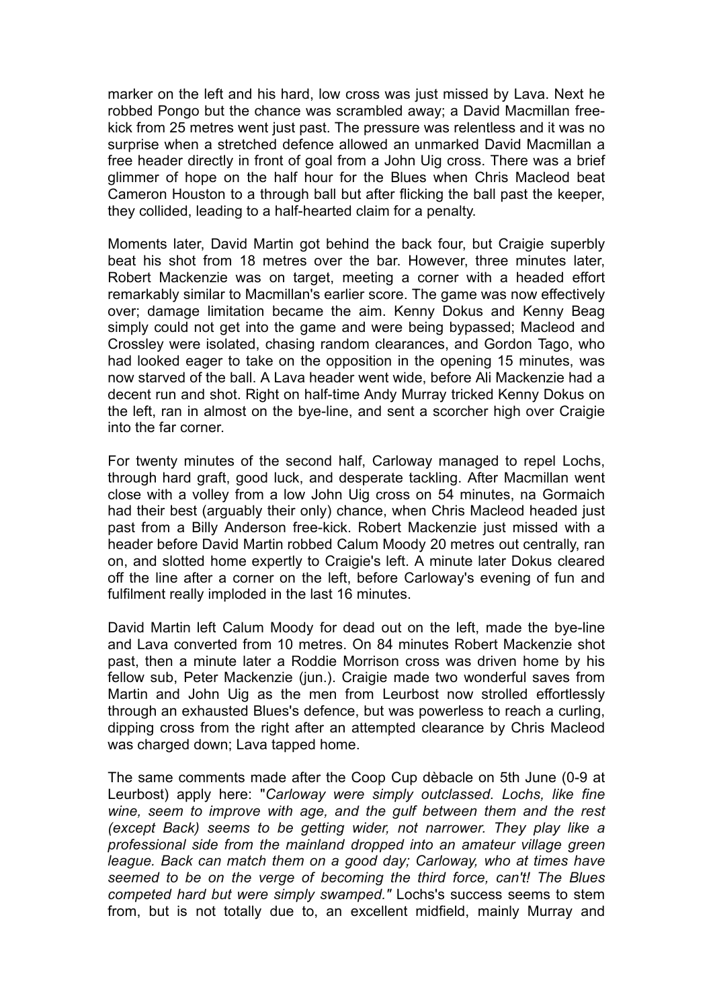marker on the left and his hard, low cross was just missed by Lava. Next he robbed Pongo but the chance was scrambled away; a David Macmillan freekick from 25 metres went just past. The pressure was relentless and it was no surprise when a stretched defence allowed an unmarked David Macmillan a free header directly in front of goal from a John Uig cross. There was a brief glimmer of hope on the half hour for the Blues when Chris Macleod beat Cameron Houston to a through ball but after flicking the ball past the keeper, they collided, leading to a half-hearted claim for a penalty.

Moments later, David Martin got behind the back four, but Craigie superbly beat his shot from 18 metres over the bar. However, three minutes later, Robert Mackenzie was on target, meeting a corner with a headed effort remarkably similar to Macmillan's earlier score. The game was now effectively over; damage limitation became the aim. Kenny Dokus and Kenny Beag simply could not get into the game and were being bypassed; Macleod and Crossley were isolated, chasing random clearances, and Gordon Tago, who had looked eager to take on the opposition in the opening 15 minutes, was now starved of the ball. A Lava header went wide, before Ali Mackenzie had a decent run and shot. Right on half-time Andy Murray tricked Kenny Dokus on the left, ran in almost on the bye-line, and sent a scorcher high over Craigie into the far corner.

For twenty minutes of the second half, Carloway managed to repel Lochs, through hard graft, good luck, and desperate tackling. After Macmillan went close with a volley from a low John Uig cross on 54 minutes, na Gormaich had their best (arguably their only) chance, when Chris Macleod headed just past from a Billy Anderson free-kick. Robert Mackenzie just missed with a header before David Martin robbed Calum Moody 20 metres out centrally, ran on, and slotted home expertly to Craigie's left. A minute later Dokus cleared off the line after a corner on the left, before Carloway's evening of fun and fulfilment really imploded in the last 16 minutes.

David Martin left Calum Moody for dead out on the left, made the bye-line and Lava converted from 10 metres. On 84 minutes Robert Mackenzie shot past, then a minute later a Roddie Morrison cross was driven home by his fellow sub, Peter Mackenzie (jun.). Craigie made two wonderful saves from Martin and John Uig as the men from Leurbost now strolled effortlessly through an exhausted Blues's defence, but was powerless to reach a curling, dipping cross from the right after an attempted clearance by Chris Macleod was charged down; Lava tapped home.

The same comments made after the Coop Cup dèbacle on 5th June (0-9 at Leurbost) apply here: "*Carloway were simply outclassed. Lochs, like fine wine, seem to improve with age, and the gulf between them and the rest (except Back) seems to be getting wider, not narrower. They play like a professional side from the mainland dropped into an amateur village green league. Back can match them on a good day; Carloway, who at times have seemed to be on the verge of becoming the third force, can't! The Blues competed hard but were simply swamped."* Lochs's success seems to stem from, but is not totally due to, an excellent midfield, mainly Murray and